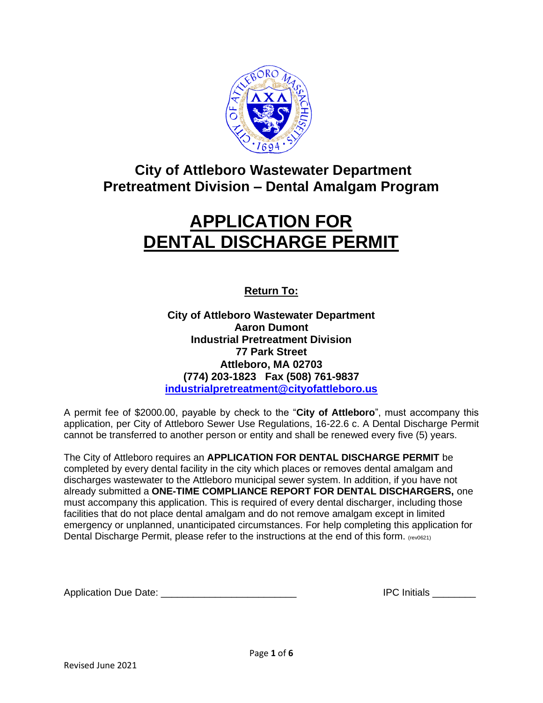

# **City of Attleboro Wastewater Department Pretreatment Division – Dental Amalgam Program**

# **APPLICATION FOR DENTAL DISCHARGE PERMIT**

**Return To:**

**City of Attleboro Wastewater Department Aaron Dumont Industrial Pretreatment Division 77 Park Street Attleboro, MA 02703 (774) 203-1823 Fax (508) 761-9837 [industrialpretreatment@cityofattleboro.us](mailto:industrialpretreatment@cityofattleboro.us)**

A permit fee of \$2000.00, payable by check to the "**City of Attleboro**", must accompany this application, per City of Attleboro Sewer Use Regulations, 16-22.6 c. A Dental Discharge Permit cannot be transferred to another person or entity and shall be renewed every five (5) years.

The City of Attleboro requires an **APPLICATION FOR DENTAL DISCHARGE PERMIT** be completed by every dental facility in the city which places or removes dental amalgam and discharges wastewater to the Attleboro municipal sewer system. In addition, if you have not already submitted a **ONE-TIME COMPLIANCE REPORT FOR DENTAL DISCHARGERS,** one must accompany this application. This is required of every dental discharger, including those facilities that do not place dental amalgam and do not remove amalgam except in limited emergency or unplanned, unanticipated circumstances. For help completing this application for Dental Discharge Permit, please refer to the instructions at the end of this form. (rev0621)

Application Due Date: \_\_\_\_\_\_\_\_\_\_\_\_\_\_\_\_\_\_\_\_\_\_\_\_\_ IPC Initials \_\_\_\_\_\_\_\_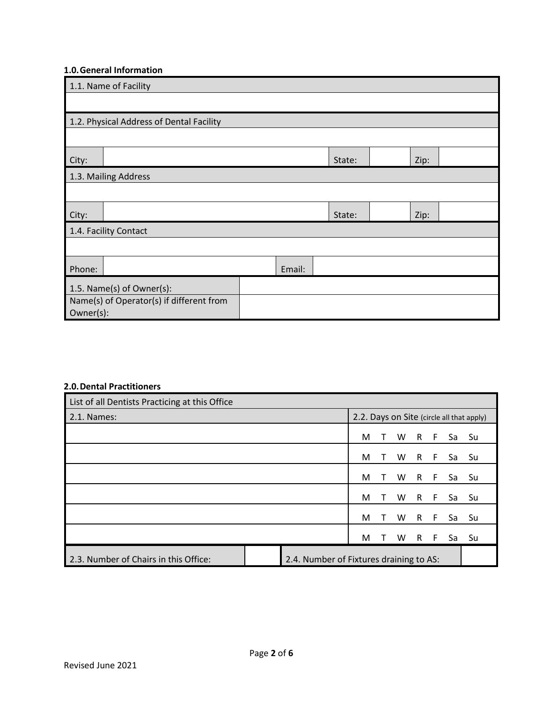# **1.0.General Information**

| 1.1. Name of Facility                    |                      |  |        |        |  |      |  |  |
|------------------------------------------|----------------------|--|--------|--------|--|------|--|--|
|                                          |                      |  |        |        |  |      |  |  |
| 1.2. Physical Address of Dental Facility |                      |  |        |        |  |      |  |  |
|                                          |                      |  |        |        |  |      |  |  |
| City:                                    |                      |  |        | State: |  | Zip: |  |  |
|                                          | 1.3. Mailing Address |  |        |        |  |      |  |  |
|                                          |                      |  |        |        |  |      |  |  |
| City:                                    |                      |  |        | State: |  | Zip: |  |  |
| 1.4. Facility Contact                    |                      |  |        |        |  |      |  |  |
|                                          |                      |  |        |        |  |      |  |  |
| Phone:                                   |                      |  | Email: |        |  |      |  |  |
| 1.5. Name(s) of Owner(s):                |                      |  |        |        |  |      |  |  |
| Name(s) of Operator(s) if different from |                      |  |        |        |  |      |  |  |
| Owner(s):                                |                      |  |        |        |  |      |  |  |

# **2.0.Dental Practitioners**

| List of all Dentists Practicing at this Office |                                         |   |    |          |    |       |    |                                           |
|------------------------------------------------|-----------------------------------------|---|----|----------|----|-------|----|-------------------------------------------|
| 2.1. Names:                                    |                                         |   |    |          |    |       |    | 2.2. Days on Site (circle all that apply) |
|                                                |                                         | М |    | W        | R  | $-$ F | Sa | Su                                        |
|                                                |                                         | M |    | W        | R. | - F   | Sa | Su                                        |
|                                                |                                         | M | T. | <b>W</b> |    | $R$ F | Sa | Su                                        |
|                                                |                                         | M |    | W        | R  | - F   | Sa | Su                                        |
|                                                |                                         | M |    | W        | R  | - F   | Sa | Su                                        |
|                                                |                                         | M |    | W        | R  | - F   | Sa | Su                                        |
| 2.3. Number of Chairs in this Office:          | 2.4. Number of Fixtures draining to AS: |   |    |          |    |       |    |                                           |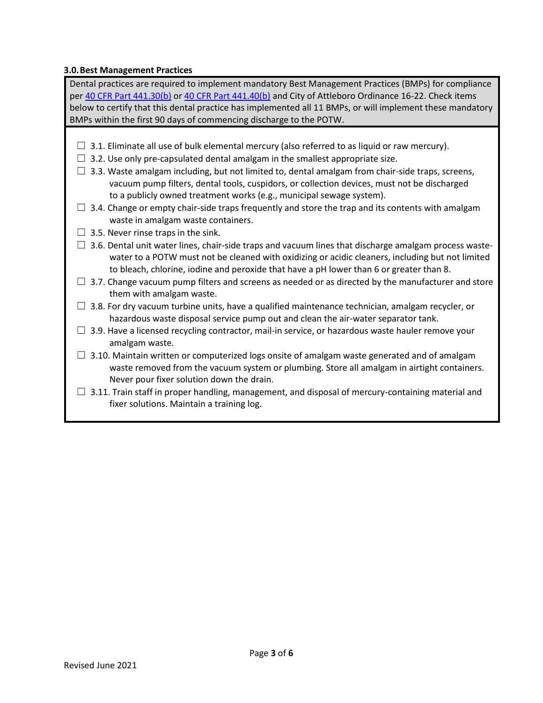# **3.0.Best Management Practices**

Dental practices are required to implement mandatory Best Management Practices (BMPs) for compliance per [40 CFR Part 441.30\(b\)](https://www.federalregister.gov/d/2017-12338/p-264) or [40 CFR Part 441.40\(b\)](https://www.federalregister.gov/d/2017-12338/p-264) and City of Attleboro Ordinance 16-22. Check items below to certify that this dental practice has implemented all 11 BMPs, or will implement these mandatory BMPs within the first 90 days of commencing discharge to the POTW.

- $\Box$  3.1. Eliminate all use of bulk elemental mercury (also referred to as liquid or raw mercury).
- $\Box$  3.2. Use only pre-capsulated dental amalgam in the smallest appropriate size.
- $\square$  3.3. Waste amalgam including, but not limited to, dental amalgam from chair-side traps, screens, vacuum pump filters, dental tools, cuspidors, or collection devices, must not be discharged to a publicly owned treatment works (e.g., municipal sewage system).
- $\Box$  3.4. Change or empty chair-side traps frequently and store the trap and its contents with amalgam waste in amalgam waste containers.
- $\Box$  3.5. Never rinse traps in the sink.
- $\Box$  3.6. Dental unit water lines, chair-side traps and vacuum lines that discharge amalgam process waste water to a POTW must not be cleaned with oxidizing or acidic cleaners, including but not limited to bleach, chlorine, iodine and peroxide that have a pH lower than 6 or greater than 8.
- $\Box$  3.7. Change vacuum pump filters and screens as needed or as directed by the manufacturer and store them with amalgam waste.
- $\Box$  3.8. For dry vacuum turbine units, have a qualified maintenance technician, amalgam recycler, or hazardous waste disposal service pump out and clean the air-water separator tank.
- $\square$  3.9. Have a licensed recycling contractor, mail-in service, or hazardous waste hauler remove your amalgam waste.
- $\Box$  3.10. Maintain written or computerized logs onsite of amalgam waste generated and of amalgam waste removed from the vacuum system or plumbing. Store all amalgam in airtight containers. Never pour fixer solution down the drain.
- $\Box$  3.11. Train staff in proper handling, management, and disposal of mercury-containing material and fixer solutions. Maintain a training log.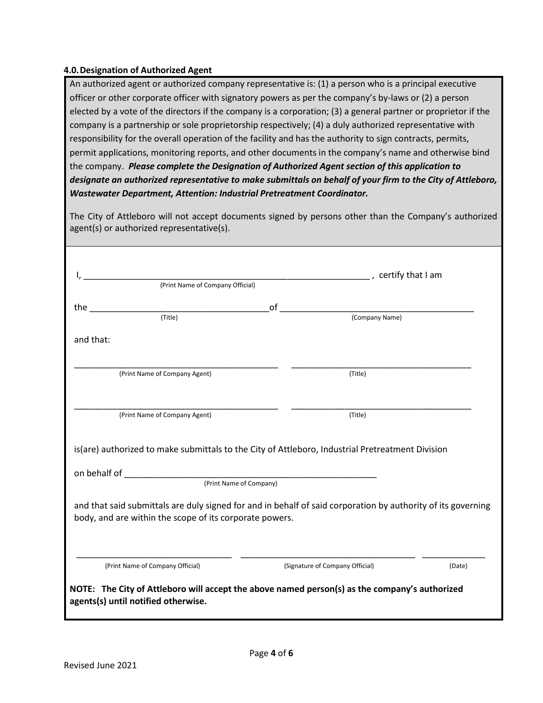# **4.0.Designation of Authorized Agent**

An authorized agent or authorized company representative is: (1) a person who is a principal executive officer or other corporate officer with signatory powers as per the company's by-laws or (2) a person elected by a vote of the directors if the company is a corporation; (3) a general partner or proprietor if the company is a partnership or sole proprietorship respectively; (4) a duly authorized representative with responsibility for the overall operation of the facility and has the authority to sign contracts, permits, permit applications, monitoring reports, and other documents in the company's name and otherwise bind the company. *Please complete the Designation of Authorized Agent section of this application to designate an authorized representative to make submittals on behalf of your firm to the City of Attleboro, Wastewater Department, Attention: Industrial Pretreatment Coordinator.*

The City of Attleboro will not accept documents signed by persons other than the Company's authorized agent(s) or authorized representative(s).

|                                                                                                                                                                                                                                                        |    | certify that I am               |  |
|--------------------------------------------------------------------------------------------------------------------------------------------------------------------------------------------------------------------------------------------------------|----|---------------------------------|--|
| (Print Name of Company Official)                                                                                                                                                                                                                       |    |                                 |  |
| the the contract of the contract of the contract of the contract of the contract of the contract of the contract of the contract of the contract of the contract of the contract of the contract of the contract of the contra<br>$\overline{$ (Title) | of |                                 |  |
|                                                                                                                                                                                                                                                        |    | (Company Name)                  |  |
| and that:                                                                                                                                                                                                                                              |    |                                 |  |
| (Print Name of Company Agent)                                                                                                                                                                                                                          |    | (Title)                         |  |
|                                                                                                                                                                                                                                                        |    |                                 |  |
|                                                                                                                                                                                                                                                        |    |                                 |  |
| (Print Name of Company Agent)                                                                                                                                                                                                                          |    | (Title)                         |  |
|                                                                                                                                                                                                                                                        |    |                                 |  |
|                                                                                                                                                                                                                                                        |    |                                 |  |
| is(are) authorized to make submittals to the City of Attleboro, Industrial Pretreatment Division<br>(Print Name of Company)                                                                                                                            |    |                                 |  |
| and that said submittals are duly signed for and in behalf of said corporation by authority of its governing<br>body, and are within the scope of its corporate powers.                                                                                |    |                                 |  |
|                                                                                                                                                                                                                                                        |    | (Signature of Company Official) |  |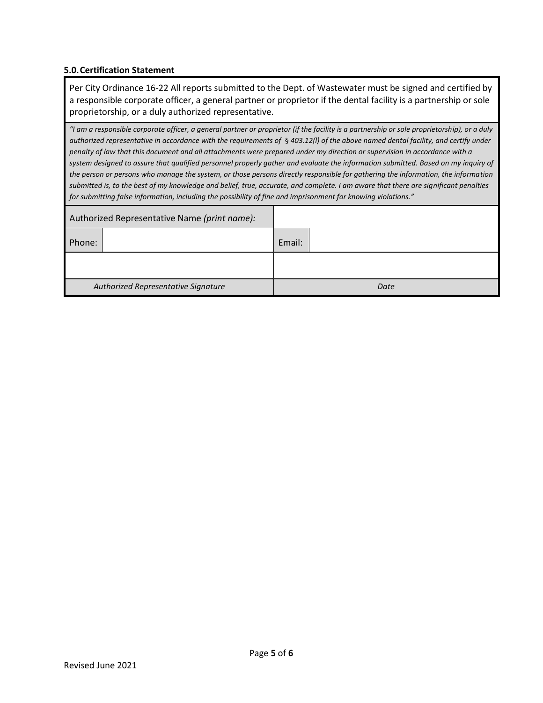## **5.0.Certification Statement**

Per City Ordinance 16-22 All reports submitted to the Dept. of Wastewater must be signed and certified by a responsible corporate officer, a general partner or proprietor if the dental facility is a partnership or sole proprietorship, or a duly authorized representative.

*"I am a responsible corporate officer, a general partner or proprietor (if the facility is a partnership or sole proprietorship), or a duly authorized representative in accordance with the requirements of* § *403.12(l) of the above named dental facility, and certify under penalty of law that this document and all attachments were prepared under my direction or supervision in accordance with a system designed to assure that qualified personnel properly gather and evaluate the information submitted. Based on my inquiry of the person or persons who manage the system, or those persons directly responsible for gathering the information, the information submitted is, to the best of my knowledge and belief, true, accurate, and complete. I am aware that there are significant penalties for submitting false information, including the possibility of fine and imprisonment for knowing violations."*

| Authorized Representative Name (print name): |  |        |      |
|----------------------------------------------|--|--------|------|
| Phone:                                       |  | Email: |      |
|                                              |  |        |      |
| Authorized Representative Signature          |  |        | Date |